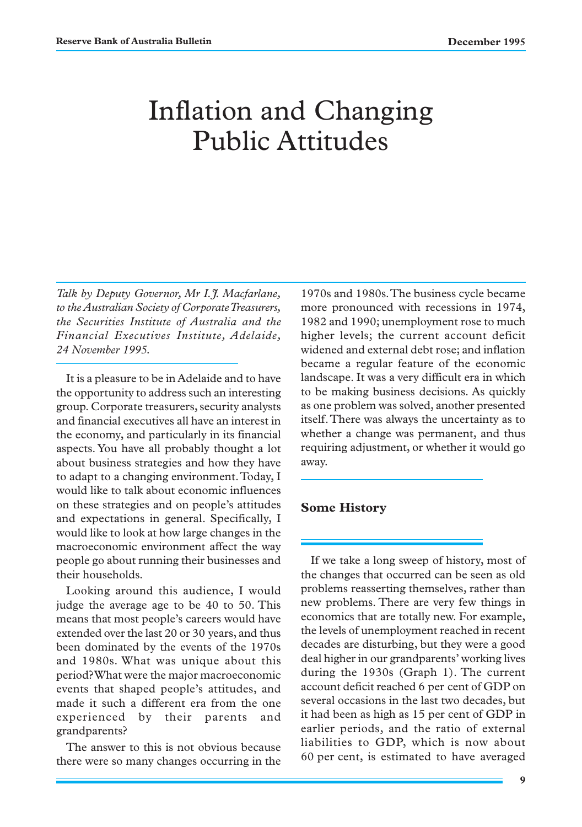# Inflation and Changing Public Attitudes

*Talk by Deputy Governor, Mr I.J. Macfarlane, to the Australian Society of Corporate Treasurers, the Securities Institute of Australia and the Financial Executives Institute, Adelaide, 24 November 1995.*

It is a pleasure to be in Adelaide and to have the opportunity to address such an interesting group. Corporate treasurers, security analysts and financial executives all have an interest in the economy, and particularly in its financial aspects. You have all probably thought a lot about business strategies and how they have to adapt to a changing environment. Today, I would like to talk about economic influences on these strategies and on people's attitudes and expectations in general. Specifically, I would like to look at how large changes in the macroeconomic environment affect the way people go about running their businesses and their households.

Looking around this audience, I would judge the average age to be 40 to 50. This means that most people's careers would have extended over the last 20 or 30 years, and thus been dominated by the events of the 1970s and 1980s. What was unique about this period? What were the major macroeconomic events that shaped people's attitudes, and made it such a different era from the one experienced by their parents and grandparents?

The answer to this is not obvious because there were so many changes occurring in the

1970s and 1980s. The business cycle became more pronounced with recessions in 1974, 1982 and 1990; unemployment rose to much higher levels; the current account deficit widened and external debt rose; and inflation became a regular feature of the economic landscape. It was a very difficult era in which to be making business decisions. As quickly as one problem was solved, another presented itself. There was always the uncertainty as to whether a change was permanent, and thus requiring adjustment, or whether it would go away.

### **Some History**

If we take a long sweep of history, most of the changes that occurred can be seen as old problems reasserting themselves, rather than new problems. There are very few things in economics that are totally new. For example, the levels of unemployment reached in recent decades are disturbing, but they were a good deal higher in our grandparents' working lives during the 1930s (Graph 1). The current account deficit reached 6 per cent of GDP on several occasions in the last two decades, but it had been as high as 15 per cent of GDP in earlier periods, and the ratio of external liabilities to GDP, which is now about 60 per cent, is estimated to have averaged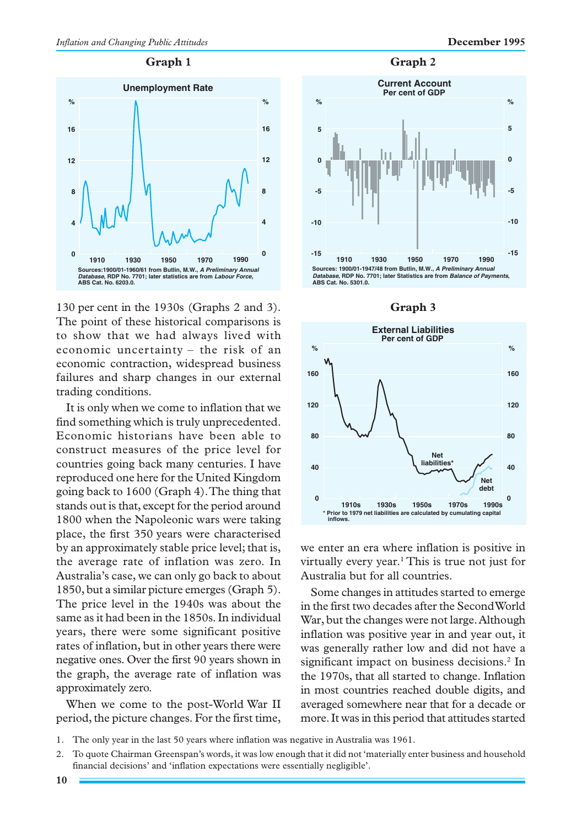### **Graph 1**



130 per cent in the 1930s (Graphs 2 and 3). The point of these historical comparisons is to show that we had always lived with economic uncertainty – the risk of an economic contraction, widespread business failures and sharp changes in our external trading conditions.

It is only when we come to inflation that we find something which is truly unprecedented. Economic historians have been able to construct measures of the price level for countries going back many centuries. I have reproduced one here for the United Kingdom going back to 1600 (Graph 4). The thing that stands out is that, except for the period around 1800 when the Napoleonic wars were taking place, the first 350 years were characterised by an approximately stable price level; that is, the average rate of inflation was zero. In Australia's case, we can only go back to about 1850, but a similar picture emerges (Graph 5). The price level in the 1940s was about the same as it had been in the 1850s. In individual years, there were some significant positive rates of inflation, but in other years there were negative ones. Over the first 90 years shown in the graph, the average rate of inflation was approximately zero.

When we come to the post-World War II period, the picture changes. For the first time,







we enter an era where inflation is positive in virtually every year.<sup>1</sup> This is true not just for Australia but for all countries.

Some changes in attitudes started to emerge in the first two decades after the Second World War, but the changes were not large. Although inflation was positive year in and year out, it was generally rather low and did not have a significant impact on business decisions.<sup>2</sup> In the 1970s, that all started to change. Inflation in most countries reached double digits, and averaged somewhere near that for a decade or more. It was in this period that attitudes started

- 1. The only year in the last 50 years where inflation was negative in Australia was 1961.
- 2. To quote Chairman Greenspan's words, it was low enough that it did not 'materially enter business and household financial decisions' and 'inflation expectations were essentially negligible'.

**10**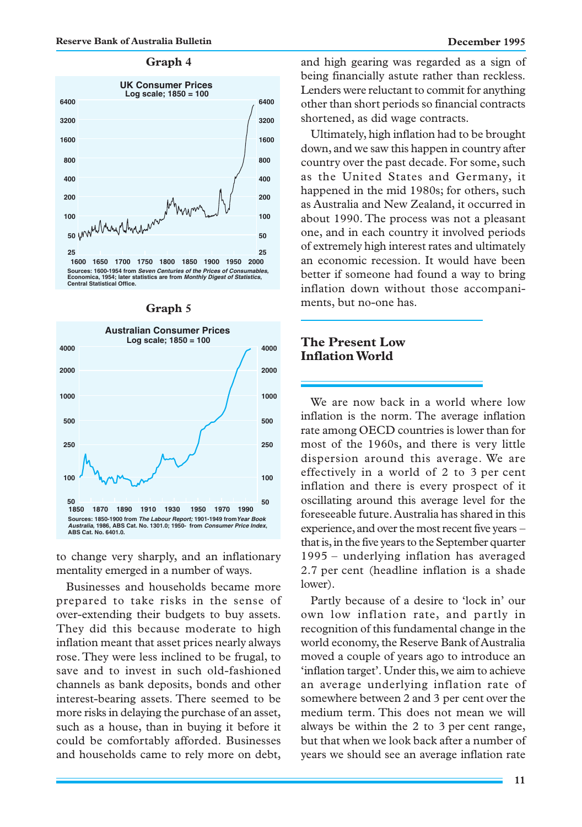### **Graph 4**



|--|--|



to change very sharply, and an inflationary mentality emerged in a number of ways.

Businesses and households became more prepared to take risks in the sense of over-extending their budgets to buy assets. They did this because moderate to high inflation meant that asset prices nearly always rose. They were less inclined to be frugal, to save and to invest in such old-fashioned channels as bank deposits, bonds and other interest-bearing assets. There seemed to be more risks in delaying the purchase of an asset, such as a house, than in buying it before it could be comfortably afforded. Businesses and households came to rely more on debt,

and high gearing was regarded as a sign of being financially astute rather than reckless. Lenders were reluctant to commit for anything other than short periods so financial contracts shortened, as did wage contracts.

Ultimately, high inflation had to be brought down, and we saw this happen in country after country over the past decade. For some, such as the United States and Germany, it happened in the mid 1980s; for others, such as Australia and New Zealand, it occurred in about 1990. The process was not a pleasant one, and in each country it involved periods of extremely high interest rates and ultimately an economic recession. It would have been better if someone had found a way to bring inflation down without those accompaniments, but no-one has.

### **The Present Low Inflation World**

We are now back in a world where low inflation is the norm. The average inflation rate among OECD countries is lower than for most of the 1960s, and there is very little dispersion around this average. We are effectively in a world of 2 to 3 per cent inflation and there is every prospect of it oscillating around this average level for the foreseeable future. Australia has shared in this experience, and over the most recent five years – that is, in the five years to the September quarter 1995 – underlying inflation has averaged 2.7 per cent (headline inflation is a shade lower).

Partly because of a desire to 'lock in' our own low inflation rate, and partly in recognition of this fundamental change in the world economy, the Reserve Bank of Australia moved a couple of years ago to introduce an 'inflation target'. Under this, we aim to achieve an average underlying inflation rate of somewhere between 2 and 3 per cent over the medium term. This does not mean we will always be within the 2 to 3 per cent range, but that when we look back after a number of years we should see an average inflation rate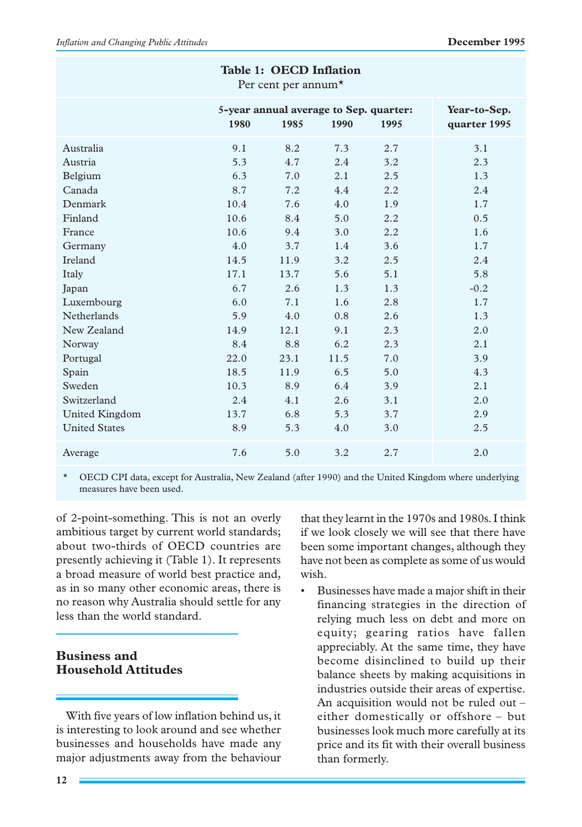| Per cent per annum $\star$ |      |                                                |      |               |                              |  |  |
|----------------------------|------|------------------------------------------------|------|---------------|------------------------------|--|--|
|                            | 1980 | 5-year annual average to Sep. quarter:<br>1985 | 1990 | 1995          | Year-to-Sep.<br>quarter 1995 |  |  |
| Australia                  | 9.1  | 8.2                                            | 7.3  | 2.7           | 3.1                          |  |  |
| Austria                    | 5.3  | 4.7                                            | 2.4  | 3.2           | 2.3                          |  |  |
| Belgium                    | 6.3  | 7.0                                            | 2.1  | 2.5           | 1.3                          |  |  |
| Canada                     | 8.7  | 7.2                                            | 4.4  | 2.2           | 2.4                          |  |  |
| Denmark                    | 10.4 | 7.6                                            | 4.0  | 1.9           | 1.7                          |  |  |
| Finland                    | 10.6 | 8.4                                            | 5.0  | $2.2^{\circ}$ | 0.5                          |  |  |
| France                     | 10.6 | 9.4                                            | 3.0  | 2.2           | 1.6                          |  |  |
| Germany                    | 4.0  | 3.7                                            | 1.4  | 3.6           | 1.7                          |  |  |
| Ireland                    | 14.5 | 11.9                                           | 3.2  | 2.5           | 2.4                          |  |  |
| Italy                      | 17.1 | 13.7                                           | 5.6  | 5.1           | 5.8                          |  |  |
| Japan                      | 6.7  | 2.6                                            | 1.3  | 1.3           | $-0.2$                       |  |  |
| Luxembourg                 | 6.0  | 7.1                                            | 1.6  | 2.8           | 1.7                          |  |  |
| <b>Netherlands</b>         | 5.9  | 4.0                                            | 0.8  | 2.6           | 1.3                          |  |  |
| New Zealand                | 14.9 | 12.1                                           | 9.1  | 2.3           | 2.0                          |  |  |
| Norway                     | 8.4  | 8.8                                            | 6.2  | 2.3           | 2.1                          |  |  |
| Portugal                   | 22.0 | 23.1                                           | 11.5 | 7.0           | 3.9                          |  |  |
| Spain                      | 18.5 | 11.9                                           | 6.5  | 5.0           | 4.3                          |  |  |
| Sweden                     | 10.3 | 8.9                                            | 6.4  | 3.9           | 2.1                          |  |  |
| Switzerland                | 2.4  | 4.1                                            | 2.6  | 3.1           | 2.0                          |  |  |
| United Kingdom             | 13.7 | 6.8                                            | 5.3  | 3.7           | 2.9                          |  |  |
| <b>United States</b>       | 8.9  | 5.3                                            | 4.0  | 3.0           | 2.5                          |  |  |
| Average                    | 7.6  | 5.0                                            | 3.2  | 2.7           | 2.0                          |  |  |

**Table 1: OECD Inflation**

OECD CPI data, except for Australia, New Zealand (after 1990) and the United Kingdom where underlying measures have been used.

of 2-point-something. This is not an overly ambitious target by current world standards; about two-thirds of OECD countries are presently achieving it (Table 1). It represents a broad measure of world best practice and, as in so many other economic areas, there is no reason why Australia should settle for any less than the world standard.

## **Business and Household Attitudes**

With five years of low inflation behind us, it is interesting to look around and see whether businesses and households have made any major adjustments away from the behaviour that they learnt in the 1970s and 1980s. I think if we look closely we will see that there have been some important changes, although they have not been as complete as some of us would wish.

• Businesses have made a major shift in their financing strategies in the direction of relying much less on debt and more on equity; gearing ratios have fallen appreciably. At the same time, they have become disinclined to build up their balance sheets by making acquisitions in industries outside their areas of expertise. An acquisition would not be ruled out – either domestically or offshore – but businesses look much more carefully at its price and its fit with their overall business than formerly.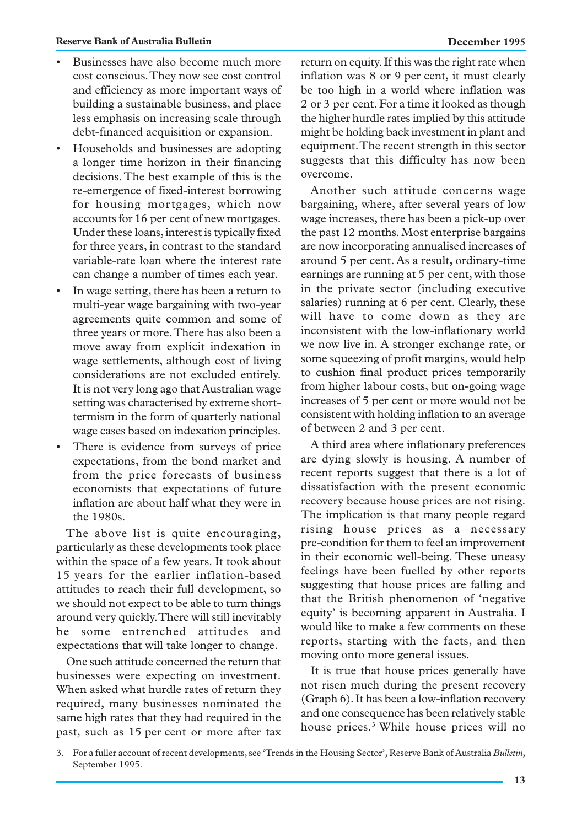- Businesses have also become much more cost conscious. They now see cost control and efficiency as more important ways of building a sustainable business, and place less emphasis on increasing scale through debt-financed acquisition or expansion.
- Households and businesses are adopting a longer time horizon in their financing decisions. The best example of this is the re-emergence of fixed-interest borrowing for housing mortgages, which now accounts for 16 per cent of new mortgages. Under these loans, interest is typically fixed for three years, in contrast to the standard variable-rate loan where the interest rate can change a number of times each year.
- In wage setting, there has been a return to multi-year wage bargaining with two-year agreements quite common and some of three years or more. There has also been a move away from explicit indexation in wage settlements, although cost of living considerations are not excluded entirely. It is not very long ago that Australian wage setting was characterised by extreme shorttermism in the form of quarterly national wage cases based on indexation principles.
- There is evidence from surveys of price expectations, from the bond market and from the price forecasts of business economists that expectations of future inflation are about half what they were in the 1980s.

The above list is quite encouraging, particularly as these developments took place within the space of a few years. It took about 15 years for the earlier inflation-based attitudes to reach their full development, so we should not expect to be able to turn things around very quickly. There will still inevitably be some entrenched attitudes and expectations that will take longer to change.

One such attitude concerned the return that businesses were expecting on investment. When asked what hurdle rates of return they required, many businesses nominated the same high rates that they had required in the past, such as 15 per cent or more after tax return on equity. If this was the right rate when inflation was 8 or 9 per cent, it must clearly be too high in a world where inflation was 2 or 3 per cent. For a time it looked as though the higher hurdle rates implied by this attitude might be holding back investment in plant and equipment. The recent strength in this sector suggests that this difficulty has now been overcome.

Another such attitude concerns wage bargaining, where, after several years of low wage increases, there has been a pick-up over the past 12 months. Most enterprise bargains are now incorporating annualised increases of around 5 per cent. As a result, ordinary-time earnings are running at 5 per cent, with those in the private sector (including executive salaries) running at 6 per cent. Clearly, these will have to come down as they are inconsistent with the low-inflationary world we now live in. A stronger exchange rate, or some squeezing of profit margins, would help to cushion final product prices temporarily from higher labour costs, but on-going wage increases of 5 per cent or more would not be consistent with holding inflation to an average of between 2 and 3 per cent.

A third area where inflationary preferences are dying slowly is housing. A number of recent reports suggest that there is a lot of dissatisfaction with the present economic recovery because house prices are not rising. The implication is that many people regard rising house prices as a necessary pre-condition for them to feel an improvement in their economic well-being. These uneasy feelings have been fuelled by other reports suggesting that house prices are falling and that the British phenomenon of 'negative equity' is becoming apparent in Australia. I would like to make a few comments on these reports, starting with the facts, and then moving onto more general issues.

It is true that house prices generally have not risen much during the present recovery (Graph 6). It has been a low-inflation recovery and one consequence has been relatively stable house prices.3 While house prices will no

<sup>3.</sup> For a fuller account of recent developments, see 'Trends in the Housing Sector', Reserve Bank of Australia *Bulletin*, September 1995.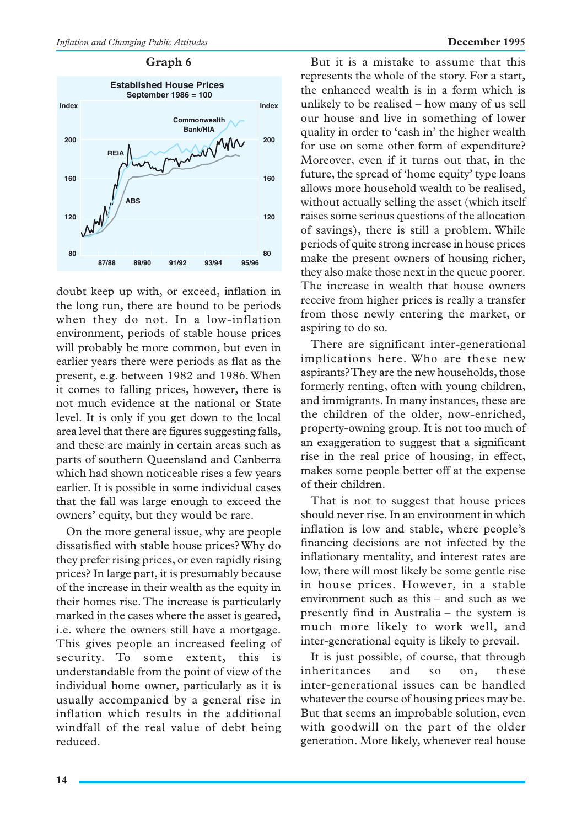

doubt keep up with, or exceed, inflation in the long run, there are bound to be periods when they do not. In a low-inflation environment, periods of stable house prices will probably be more common, but even in earlier years there were periods as flat as the present, e.g. between 1982 and 1986. When it comes to falling prices, however, there is not much evidence at the national or State level. It is only if you get down to the local area level that there are figures suggesting falls, and these are mainly in certain areas such as parts of southern Queensland and Canberra which had shown noticeable rises a few years earlier. It is possible in some individual cases that the fall was large enough to exceed the owners' equity, but they would be rare.

On the more general issue, why are people dissatisfied with stable house prices? Why do they prefer rising prices, or even rapidly rising prices? In large part, it is presumably because of the increase in their wealth as the equity in their homes rise. The increase is particularly marked in the cases where the asset is geared, i.e. where the owners still have a mortgage. This gives people an increased feeling of security. To some extent, this is understandable from the point of view of the individual home owner, particularly as it is usually accompanied by a general rise in inflation which results in the additional windfall of the real value of debt being reduced.

But it is a mistake to assume that this represents the whole of the story. For a start, the enhanced wealth is in a form which is unlikely to be realised – how many of us sell our house and live in something of lower quality in order to 'cash in' the higher wealth for use on some other form of expenditure? Moreover, even if it turns out that, in the future, the spread of 'home equity' type loans allows more household wealth to be realised, without actually selling the asset (which itself raises some serious questions of the allocation of savings), there is still a problem. While periods of quite strong increase in house prices make the present owners of housing richer, they also make those next in the queue poorer. The increase in wealth that house owners receive from higher prices is really a transfer from those newly entering the market, or aspiring to do so.

There are significant inter-generational implications here. Who are these new aspirants? They are the new households, those formerly renting, often with young children, and immigrants. In many instances, these are the children of the older, now-enriched, property-owning group. It is not too much of an exaggeration to suggest that a significant rise in the real price of housing, in effect, makes some people better off at the expense of their children.

That is not to suggest that house prices should never rise. In an environment in which inflation is low and stable, where people's financing decisions are not infected by the inflationary mentality, and interest rates are low, there will most likely be some gentle rise in house prices. However, in a stable environment such as this – and such as we presently find in Australia – the system is much more likely to work well, and inter-generational equity is likely to prevail.

It is just possible, of course, that through inheritances and so on, these inter-generational issues can be handled whatever the course of housing prices may be. But that seems an improbable solution, even with goodwill on the part of the older generation. More likely, whenever real house